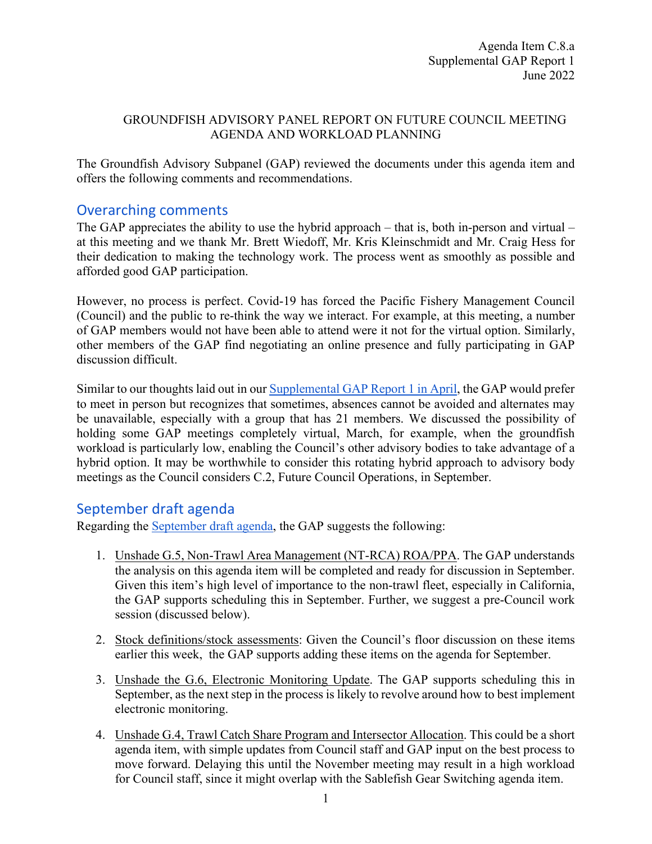#### GROUNDFISH ADVISORY PANEL REPORT ON FUTURE COUNCIL MEETING AGENDA AND WORKLOAD PLANNING

The Groundfish Advisory Subpanel (GAP) reviewed the documents under this agenda item and offers the following comments and recommendations.

# Overarching comments

The GAP appreciates the ability to use the hybrid approach – that is, both in-person and virtual – at this meeting and we thank Mr. Brett Wiedoff, Mr. Kris Kleinschmidt and Mr. Craig Hess for their dedication to making the technology work. The process went as smoothly as possible and afforded good GAP participation.

However, no process is perfect. Covid-19 has forced the Pacific Fishery Management Council (Council) and the public to re-think the way we interact. For example, at this meeting, a number of GAP members would not have been able to attend were it not for the virtual option. Similarly, other members of the GAP find negotiating an online presence and fully participating in GAP discussion difficult.

Similar to our thoughts laid out in our [Supplemental GAP Report 1 in April,](https://www.pcouncil.org/documents/2022/04/h-3-a-supplemental-gap-report-1-4.pdf/) the GAP would prefer to meet in person but recognizes that sometimes, absences cannot be avoided and alternates may be unavailable, especially with a group that has 21 members. We discussed the possibility of holding some GAP meetings completely virtual, March, for example, when the groundfish workload is particularly low, enabling the Council's other advisory bodies to take advantage of a hybrid option. It may be worthwhile to consider this rotating hybrid approach to advisory body meetings as the Council considers C.2, Future Council Operations, in September.

## September draft agenda

Regarding the [September draft agenda,](https://www.pcouncil.org/documents/2022/05/c-8-attachment-2-draft-proposed-council-meeting-agenda-september-2022.pdf/) the GAP suggests the following:

- 1. Unshade G.5, Non-Trawl Area Management (NT-RCA) ROA/PPA. The GAP understands the analysis on this agenda item will be completed and ready for discussion in September. Given this item's high level of importance to the non-trawl fleet, especially in California, the GAP supports scheduling this in September. Further, we suggest a pre-Council work session (discussed below).
- 2. Stock definitions/stock assessments: Given the Council's floor discussion on these items earlier this week, the GAP supports adding these items on the agenda for September.
- 3. Unshade the G.6, Electronic Monitoring Update. The GAP supports scheduling this in September, as the next step in the process is likely to revolve around how to best implement electronic monitoring.
- 4. Unshade G.4, Trawl Catch Share Program and Intersector Allocation. This could be a short agenda item, with simple updates from Council staff and GAP input on the best process to move forward. Delaying this until the November meeting may result in a high workload for Council staff, since it might overlap with the Sablefish Gear Switching agenda item.